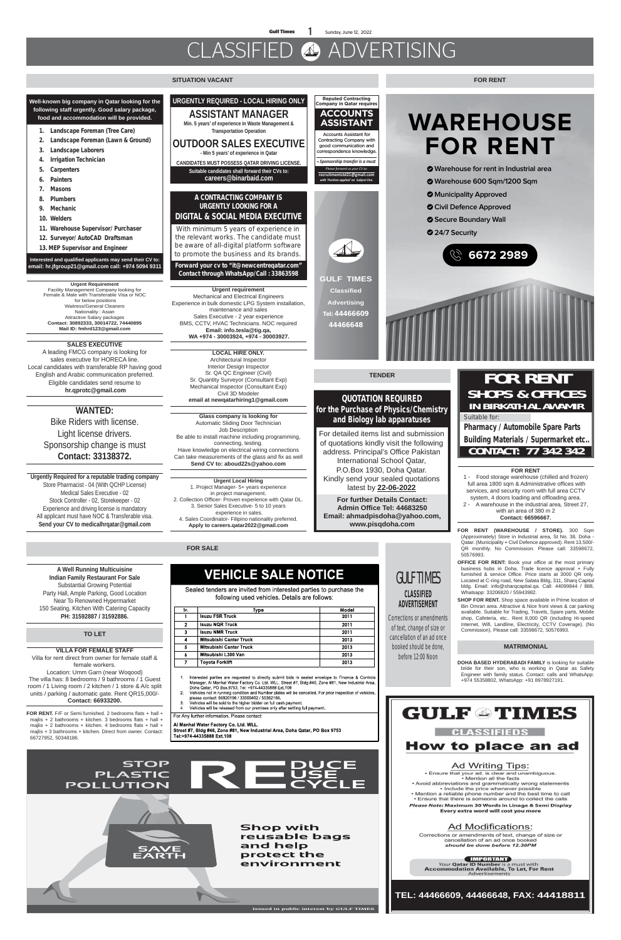**Gulf Times 1** Sunday, June 12, 2022

### CLASSIFIED ADVERTISING

#### **SITUATION VACANT**

#### **QUOTATION REQUIRED for the Purchase of Physics/Chemistry and Biology lab apparatuses**

For detailed items list and submission of quotations kindly visit the following address. Principal's Office Pakistan International School Qatar, P.O.Box 1930, Doha Qatar. Kindly send your sealed quotations latest by **22-06-2022**

**For further Details Contact: Admin Office Tel: 44683250 Email: ahmadpisdoha@yahoo.com, www.pisqdoha.com** 

**FOR SALE**

Al Manhal Water Factory Co. Ltd. WLL. Street #7, Bldg #46, Zone #81, New Industrial Area, Doha Qatar, PO Box 9753 Tel:+974-44335888 Ext.108



**Issued in public interest by GULF TIMES**

### GULF TIMES

#### **CLASSIFIED ADVERTISEMENT**

**Corrections or amendments of text, change of size or cancellation of an ad once booked should be done, before 12:00 Noon**

**A Well Running Multicuisine Indian Family Restaurant For Sale** Substantial Growing Potential Party Hall, Ample Parking, Good Location Near To Renowned Hypermarket 150 Seating, Kitchen With Catering Capacity **PH: 31592887 / 31592886.**

**Pharmacy / Automobile Spare Parts Building Materials / Supermarket etc..** CONTACT: 77 342 342

**Urgent Requirement** Facility Management Company looking for Female & Male with Transferable Visa or NOC for below positions Waitress/General Cleaners Nationality : Asian Attractive Salary packages **Contact: 30892333, 30014722, 74440895 Mail ID: fmhrd123@gmail.com**

**SALES EXECUTIVE**  A leading FMCG company is looking for sales executive for HORECA line. Local candidates with transferable RP having good English and Arabic communication preferred. Eligible candidates send resume to  **hr.qprotc@gmail.com**

#### **MATRIMONIAL**

**DOHA BASED HYDERABADI FAMILY** is looking for suitable bride for their son, who is working in Qatar as Safety Engineer with family status. Contact: calls and WhatsApp: +974 55358802, WhatsApp: +91 8978927191.



Corrections or amendments of text, change of size or cancellation of an ad once booked should be done before 12.30PM

**ENPORTANT**<br>Your Qatar ID Number is a must with<br>Accommodation Available, To Let, For Rent Advertisement

### **Suitable for:**  FOR RENT SHOPS & OFFICES IN BIRKATH AL AWAMIR

# **WAREHOUSE FOR RENT**

- **Warehouse for rent in Industrial area**
- **Warehouse 600 Sqm/1200 Sqm**
- **Municipality Approved**
- **Civil Defence Approved**
- **Secure Boundary Wall**
- **24/7 Security**



**Well-known big company in Qatar looking for the following staff urgently. Good salary package, food and accommodation will be provided.**

- **1. Landscape Foreman (Tree Care)**
- **2. Landscape Foreman (Lawn & Ground)**
- **3. Landscape Laborers**
- **4. Irrigation Technician**
- **5. Carpenters**
- **6. Painters**
- **7. Masons**
- **8. Plumbers**
- **9. Mechanic**
- **10. Welders**
- **11. Warehouse Supervisor/ Purchaser**
- **12. Surveyor/ AutoCAD Draftsman**
- **13. MEP Supervisor and Engineer**

#### **Interested and qualified applicants may send their CV to: email: hr.jfgroup21@gmail.com call: +974 5094 9311**

**FOR RENT.** F/F or Semi furnished. 2 bedrooms flats + hall + majlis + 2 bathrooms + kitchen. 3 bedrooms flats + hall + majlis + 2 bathrooms + kitchen. 4 bedrooms flats + hall + majlis + 3 bathrooms + kitchen. Direct from owner. Contact: 66727952, 50348186.

### **VEHICLE SALE NOTICE**

Sealed tenders are invited from interested parties to purchase the following used vehicles. Details are follows:

| Sr. | Type                           | Model |
|-----|--------------------------------|-------|
|     | <b>Isuzu FSR Truck</b>         | 2011  |
| 2   | <b>Isuzu NQR Truck</b>         | 2011  |
| 3   | <b>Isuzu NMR Truck</b>         | 2011  |
| 4   | <b>Mitsubishi Canter Truck</b> | 2013  |
| 5   | <b>Mitsubishi Canter Truck</b> | 2013  |
| А   | Mitsubishi L300 Van            | 2013  |
|     | Toyota Forklift                | 2013  |

- Interested parties are requested to directly submit bids in sealed envelope to Finance & Controls musicous paraco a correctory Co. Ltd. WLL. Street #7, Bldg #46, Zone #81, New Industrial Area<br>Doha Qatar, PO Box.9753, Tel: +974-44335888 Ext.108
- Vehicles not in running condition and Number plates will be cancelled. For prior inspection of vehicles  $\overline{2}$ . please contact: 66920196 / 33500402 / 55362186.
- Vehicles will be sold to the higher bidder on full cash payment
- Vehicles will be released from our premises only after settling full payment.  $\mathbf{4}$

For Any further information. Please contact

#### **FOR RENT**



#### **WANTED:**

Bike Riders with license. Light license drivers. Sponsorship change is must **Contact: 33138372.**

#### **TO LET**

#### **VILLA FOR FEMALE STAFF**

Villa for rent direct from owner for female staff & female workers. Location: Umm Garn (near Woqood) The villa has: 8 bedrooms / 9 bathrooms / 1 Guest room / 1 Living room / 2 kitchen / 1 store & A/c split units / parking / automatic gate. Rent QR15,000/- **Contact: 66933200.**

**FOR RENT (WAREHOUSE / STORE).** 300 Sqm (Approximately) Store in Industrial area, St No. 38, Doha - Qatar. (Municipality + Civil Defence approved). Rent 13,500/- QR monthly. No Commission. Please call: 33598672, 50576993.

**OFFICE FOR RENT:** Book your office at the most primary

business hubs in Doha. Trade licence approval + Fully furnished & service Office. Price starts at 3000 QR only. Located at C-ring road, New Salata Bldg, 311, Sharq Capital bldg. Email: info@sharqcapital.qa. Call: 44099844 / 888, Whatsapp: 33206820 / 55943982.

**SHOP FOR RENT.** Shop space available in Prime location of Bin Omran area. Attractive & Nice front views & car parking available. Suitable for Trading, Travels, Spare parts, Mobile shop, Cafeteria, etc.. Rent 8,000 QR (including Hi-speed Internet, Wifi, Landline, Electricity, CCTV Coverage). (No Commission). Please call: 33598672, 50576993.

#### **FOR RENT**

1 - Food storage warehouse (chilled and frozen) full area 1800 sqm & Administrative offices with services, and security room with full area CCTV system, 4 doors loading and offloading area.

2 - A warehouse in the industrial area, Street 27, with an area of 380 m 2 **Contact: 66596667.**

#### **TENDER**

**Urgently Required for a reputable trading company** Store Pharmacist - 04 (With QCHP License) Medical Sales Executive - 02 Stock Controller - 02, Storekeeper - 02 Experience and driving license is mandatory All applicant must have NOC & Transferable visa. **Send your CV to medicalhrqatar@gmail.com**

**TEL: 44466609, 44466648, FAX: 44418811**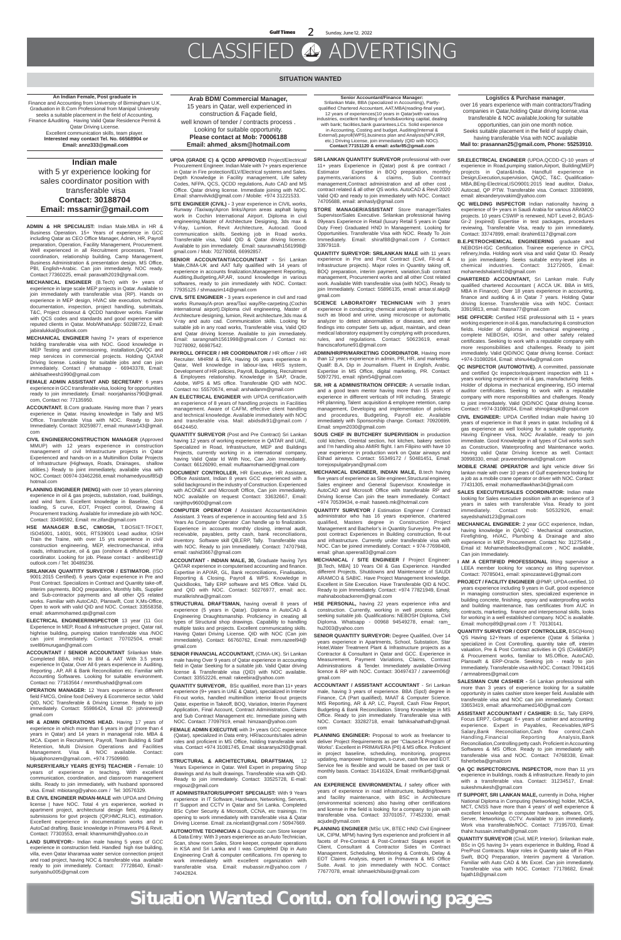#### **SITUATION WANTED**

**An Indian Female, Post graduate in**  Finance and Accounting from University of Birmingham U.K, Graduation in B.Com Professional from Manipal University seeks a suitable placement in the field of Accounting, Finance &Auditing. Having Valid Qatar Residence Permit & Qatar Driving License. Excellent communication skills, team player.  **Interested may contact Tel. No. 66568904 or Email: annz333@gmail.com**

**Arab BDM/ Commercial Manager,** 15 years in Qatar, well experienced in construction & Façade field, well known of tender / contracts process . Looking for suitable opportunity. **Please contact at Mob: 70006188 Email: ahmed\_aksm@hotmail.com**

**Senior Accountant/Finance Manager:** Srilankan Male, BBA (specialized in Accounting), Partlyqualified Chartered Accountant, AAT,MBA(reading-final year), 12 years of experiences(10 years in Qatar)with various industries, excellent handling of funds&working capital, dealing with bank; facilities,bank guarantees,LCs. Solid experience in Accounting, Costing and budget, Auditing(Internal & External),payroll(WPS),business plan and Analysis(NPV,IRR, etc.) Driving License, join immediately (QID with NOC). **Contact:77151120 & email: asfar85@gmail.com**

#### **Logistics & Purchase manager**,

over 16 years experience with main contractors/Trading companies in Qatar,holding Qatar driving license,visa transferable & NOC available,looking for suitable opportunities, can join one month notice. Seeks suitable placement in the field of supply chain, having transferable Visa with NOC available  **Mail to: prasannan25@gmail.com, Phone: 55253910.**

#### **Indian male**

with 5 yr experience looking for sales coordinator position with transferable visa **Contact: 30188704 Email: mssamir@gmail.com**

**ADMIN & HR SPECIALIST:** Indian Male.MBA in HR & Business Operation. 15+ Years of experience in GCC including Qatar as CEO Office Manager, Admin, HR, Payroll preparation, Operation, Facility Management, Procurement. Well experienced in all Recruitment processes, Travel coordination, relationship building, Camp Management, Business Administration & presentation design. MS Office, PBI, English+Arabic. Can join immediately. NOC ready. Contact:77360225, email: paravath2019@gmail.com.

**MECHANICAL ENGINEER** (B.Tech) with 9+ years of experience in large scale MEP projects in Qatar. Available to join immediately with transferable visa (RP). Hands on experience in MEP design, HVAC site execution, technical documentation, inspection, project handling, submittals, T&C, Project closeout & QCDD handover works. Familiar with QCS codes and standards and good experience with reputed clients in Qatar. Mob/WhatsApp: 50288722, Email: jabiralukkal@outlook.com

**MECHANICAL ENGINEER** having 7+ years of experience holding transferable visa with NOC. Good knowledge in MEP Testing and commissioning, installation,QA/QC and mep services in commercial projects. Holding QATAR Driving license. Looking for suitable jobs and can join immediately. Contact / whatsapp - 66943378, Email: akhilsatheesh1990@gmail.com

**FEMALE ADMIN ASSISTANT AND SECRETARY**: 6 years experience in GCC transferable visa, looking for opportunities ready to join immediately. Email: noorjahaniss790@gmail. com, Contact no: 77135950.

**ACCOUNTANT.** B.Com graduate. Having more than 7 years experience in Qatar. Having knowledge in Tally and MS Office. Transferable Visa with NOC. Ready to Join Immediately. Contact: 30259877, email: munavir143@gmail. com

**CIVIL ENGINEER/CONSTRUCTION MANAGER** (Approved MMUP) with 12 years experience in construction management of civil Infrastructure projects in Qatar Experienced and hands-on in a Multimillion Dollar Projects of Infrastructure (Highways, Roads, Drainages, shallow utilities.) Ready to joint immediately, available visa with NOC. Contact: 00974-33462268, email: mohamedyousif85@ hotmail.com

**PLANNING ENGINEER (MENG)** with over 10 years planning experience in oil & gas projects, substation, road, buildings, and wind farm. Excellent knowledge in Baseline, Cost loading, S curve, EOT, Project control, Drawing & Procurement tracking. Available for immediate job with NOC. Contact: 33496592, Email: mr.zifan@gmail.com

**HSE MANAGER B.SC, CMIOSH,** T.BOSIET-TFOET, ISO45001, 14001, 9001, RTS39001 Lead auditor, IOSH Train the Traine, with over 15 yrs experience in civil/ construction engineering, MEP, electromechanical, infra roads, infrastructure, oil & gas (onshore & offshore) PTW coordinator. Looking for job. Please contact - andibest1@

outlook.com / Tel: 30489236.

- **SRILANKAN QUANTITY SURVEYOR / ESTIMATOR.** (ISO 9001:2015 Certified). 6 years Qatar experience in Pre and Post Contract. Specializes in Contract and Quantity take-off, Interim payments, BOQ preparation, Monthly bills, Supplier and Sub-contractor payments and all other QS related works. Familiar with AutoCAD, Planswift, Cost X,Ms-Office, Open to work with valid QID and NOC. Contact: 33558358, email: arkammohamed.qs@gmail.com
- **ELECTRICAL ENGINEER/INSPECTOR** 13 year (11 Gcc Experience In MEP, Road & Infrastructure project, Qatar rail, highrise building, pumping station transferable visa /NOC can joint immediately. Contact: 70702504, email: svel86murugan@gmail.com
- **ACCOUNTANT / SENIOR ACCOUNTANT** Srilankan Male. Completed BBA, HND In BM & AAT With 3.5 years experience In Qatar, Over All 6 years experience in Auditing, Reporting , AP, AR & Bank Reconciliation etc. Familiar with Accounting Softwares. Looking for suitable environment. Contact no: 77163564 / mmmthushad@gmail.com
- **OPERATION MANAGER:** 12 Years experience in different field FMCG, Online food Delivery & Ecommerce sector. Valid QID, NOC Transferable & Driving License. Ready to join immediately. Contact: 55986424, Email ID: johninees@ gmail.com
- HR & ADMIN OPERATIONS HEAD. Having 17 years of experience in which more than 6 years in gulf (more than 4 years in Qatar) and 14 years in managerial role. MBA & MCA. Expert in Recruitment, Payroll, Team Building & Staff Retention, Multi Division Operations and Facilities Management. Visa & NOC available. Contact: bijualphonzem@gmail.com, +974 77509980.
- **NURSERY/EARLY YEARS (EYFS) TEACHER -** Female: 10 years of experience in teaching. With excellent communication, coordination, and classroom management skills. Ready to join immediately, with husband sponsored visa. Email: mbiotang@yahoo.com / Tel: 30576329.
- **B.E CIVIL ENGINEER INDIAN-MALE** with UPDA and Driving license | have NOC. Total 4 yrs experience, worked in apartment project, architectural design field, regulatory submissions for govt projects (QP,HMC,RLIC), estimation. Excellent experience in documentation works and in AutoCad drafting. Basic knowledge in Primavera P6 & Revit. Contact: 77303553, email: khanmumith@yahoo.co.in
- **LAND SURVEYOR:-** Indian male having 5 years of GCC experience in construction field. Handled high rise building, villa, even Qatar kharamaa water service connection project and road project, having NOC & transferable visa available ready to join immediately. Contact: 77728640, Email: suriyaishu005@gmail.com
- **STRUCTURAL DRAFTSMAN, having overall 8 years of** experience (5 years in Qatar). Diploma in AutoCAD & Engineering Draughtsmanship. Proficiency in creating all types of Structural shop drawings. Capability to handling multiple tasks and projects. Excellent communicating skills. Having Qatari Driving License. QID with NOC (Can join immediately). Contact: 66760762, Email: mrm.razeel94@ gmail.com
- **SENIOR FINANCIAL ACCOUNTANT,** (CIMA-UK). Sri Lankan male having Over 9 years of Qatar experience in accounting field in Qatar Seeking for a suitable job. Valid Qatar driving license & Transferable visa (QID) with NOC available. Contact: 33552226, email: rakeebira@yahoo.com
- **QUANTITY SURVEYOR,** BSc qualified, more than 11+ years experience (9+ years in UAE & Qatar), specialized in Interior Fit-out works, handled multimillion interior fit-out projects Qatar, expertise in Takeoff, BOQ, Variation, Interim Payment Application, Final Account, Contract Administration, Claims and Sub Contract Management etc. Immediate joining with NOC. Contact: 77097919, email: himzaan@yahoo.com
- **FEMALE ADMIN EXECUTIVE** with 3+ years GCC experience (Qatar), specialized in Data entry, HR/accounts/sales admin roles and proficient in MS Office, holding transferable work visa. Contact +974 31081745, Email: sksaranya293@gmail. com
- **STRUCTURAL & ARCHITECTURAL DRAFTSMAN,** 12 Years Experience in Qatar. Well Expert in preparing Shop drawings and As built drawings. Transferable visa with QID. Ready to join immediately. Contact: 33525728, E-mail: rmgouz@gmail.com
- **IT ADMINISTRATOR/SUPPORT SPECIALIST:** With 9 Years experience in IT Software, Hardware, Networking, Servers, IT Support and CCTV in Qatar and Sri Lanka. Completed BSc Cyber Security & Microsoft, CCNA, etc trainings. I'm opening to work immediately with transferable visa & Qatar Driving License. Email: za.nicelast@gmail.com / 50947669.
- **AUTOMOTIVE TECHNICIAN** & Diagnostic cum Store keeper & Data Entry: With 3 years experience as an Auto Technician, Scan, show room Sales, Store keeper, computer operations in KSA and Sri Lanka and I was Completed Dip in Auto Engineering Craft & computer certifications. I'm opening to work immediately with excellent organization with transferable visa. Email: mubassir.m@yahoo.com / 74042824.

**UPDA (GRADE C) & QCDD APPROVED** Project/Electrical/ Procurement Engineer. Indian Male with 7+ years experience in Qatar in Fire protection/ELV/Electrical systems and Sales. Depth Knowledge in Facility management, Life safety Codes, NFPA, QCS, QCDD regulations, Auto CAD and MS Office. Qatar driving license. Immediate joining with NOC. Email: shamvilvkd@gmail.com / Mobile: +974 31221533.

> **SCIENCE LABORATORY TECHNICIAN** with 3 years experience in conducting chemical analyses of body fluids, such as blood and urine, using microscope or automatic analyzer to detect abnormalities or diseases, and enter findings into computer Sets up, adjust, maintain, and clean medical laboratory equipment by complying with procedures, rules, and regulations. Contact: 50623619, email: franciscafortune91@gmail.com

> **SR. HR & ADMINISTRATION OFFICER:** A versatile Indian, and a good team mentor having more than 15 years of experience in different verticals of HR including, Strategic HR planning, Talent acquisition & employee retention, camp management, Developing and implementation of policies and procedures, Budgeting, Payroll etc. Available immediately with Sponsorship change. Contact: 70920699, Email: smpm2030@gmail.com

**SITE ENGINEER (CIVIL) -** 3 year experience in CIVIL works, Runway /Taxiway/Apron links/Apron areas asphalt laying work in Cochin International Airport. Diploma in civil engineering,Master of Architecture Designing, 3ds max & V-Ray, Lumion, Revit Architecture, Autocad. Good communication skills. Seeking job in Road works. Transferable visa, Valid QID & Qatar driving licence. Available to join immediately. Email: sauravnath1561998@ gmail.com / Mob: 70278068, 66992857.

**SENIOR ACCOUNTANT/ACCOUNTANT -** Sri Lankan Male,CIMA-UK and AAT fully qualified with 14 years of experience in accounts finalization,Management Reporting, Auditing,Budgeting,AP,AR, sound knowledge in various softwares, ready to join immediately with NOC. Contact: 77935125 / shmaazim14@gmail.com

**CIVIL SITE ENGINEER -** 3 years experience in civil and road works Runway/A-pron area/Taxi way/Re-carpeting.(Cochin international airport).Diploma civil engineering, Master of Architecture designing, lumion, Revit architecture,3ds max & V-ray and auto cad. Communication skills. Looking for suitable job in any road works, Transferable visa, Valid QID and Qatar driving license. Available to join immediately. Email: sarangnath1561998@gmail.com / Contact no: 70278092, 66987542.

**PAYROLL OFFICER / HR COORDINATOR /** HR officer / HR Recruiter. MHRM & BFA, Having 06 years experience in Qatar, Well knowledge in labour-law, HRIS system, Development of HR policies, Payroll, Budgeting, Recruitment & Employees relationship. Knowledge in SAP, Oracle, Adobe, WPS & MS office. Transferable QID with NOC. Contact no: 55570674, email: arshadanm@gmail.com

**AN ELECTRICAL ENGINEER** with UPDA certification,with an experience of 8 years of handling projects in Facilities management. Aware of CAFM, effective client handling and technical knowledge. Available immediately with NOC and transferable visa. Mail: abidsdk91@gmail.com / 66424450.

**QUANTITY SURVEYOR** (Post and Pre Contract) Sri Lankan having 12 years of working experience in QATAR and UAE, Specialized in Road, Infrastructure, MEP and Buildings Projects, currently working in a international company, having Valid Qatar Id With Noc, Can Join Immediately. Contact: 66126090, email: muftaamohamed@gmail.com

**DOCUMENT CONTROLLER,** HR Executive, HR Assistant, Office Assistant, Indian 8 years GCC experienced with a solid background in the industry of Construction. Experienced with ACONEX and Microsoft Office, Can join immediately. NOC available on request Contact: 33632667, Email: ranjithpv9600@gmail.com

**COMPUTER OPERATOR /** Assistant Accountant/Admin Assistant. 3 Years of experience in accounting field and 3.5 Years As Computer Operator .Can handle up to finalization. Experience in accounts monthly closing, internal audit, receivable, payables, petty cash, bank reconciliations, inventory. Software skill QB,ERP, Tally. Transferable visa with NOC. Ready to join Immediately. Contact: 74707948, email: rashid3667@gmail.com

**ACCOUNTANT - INDIAN MALE, 30,** Graduate having 7yrs

QATAR experience in computerised accounting and finance. Expertise in AP/AR, GL, Bank reconciliations, Finalisation, Reporting & Closing, Payroll & WPS. Knowledge in QuickBooks, Tally ERP software and MS Office. Valid DL and QID with NOC. Contact: 50276977, email: acc. muralikrishna@gmail.com

**SALES EXECUTIVE/SALES COORDINATOR:** Indian male looking for Sales executive position with an experience of 3 years in sales with transferable Visa. Ready to joint immediately. Contact mob: 50532926, sayedshahid123@gmail.com

**SRI LANKAN QUANTITY SURVEYOR** professional with over 11+ years Experience in (Qatar) post & pre contract / Estimator Expertise in BOQ preparation, monthly payments,variations & claims, Sub Contract management,Contract administration and all other cost , contract related & all other QS works. AutoCAD & Revit 2020 Valid QID and ready to join immediately with NOC. Contact: 74705688, email: amhasly@gmail.com

**STORE MANAGER/ASSISTANT** Store manager/Sales Supervisor/Sales Executive. Srilankan professional having 09years Experience in Retail (luxury Retail 5 years in Qatar Duty Free) Graduated HND In Management. Looking for Opportunities. Transferable Visa with NOC. Ready To Join Immediately. Email: shiraf88@gmail.com / Contact: 33979118.

**QUANTITY SURVEYOR: SRILANKAN MALE** with 11 years experience in Pre and Post Contract (Civil, Fit-out & Infrastructure projects). Major roles in Quantity taking off, BOQ preparation, interim payment, variation,Sub contract management, Procurement works and all other Cost related work. Available With transferable visa (with NOC). Ready to join Immediately. Contact: 55896135, email: ansar.sl.akp@ gmail.com

**ADMIN/HR/PR/MARKETING COORDINATOR.** Having more than 12 years experience in admin, PR, HR, and marketing. Qualif: B.A, Dip in Journalism. Fluent in English, Arabic. Expertise in MS Office, digital marketing, PR. Contact: 50972791, email: njbm54@gmail.com

**SOUS CHEF IN BUTCHERY SUPERVISION** in production cold kitchen, Oreintal section, hot kitchen, bakery section and I'm handling also AMIRI flight. I am Filipino with have 10 year experience in production work on Qatar airways and Etihad airways. Contact: 55349172 / 50481451, Email: torrejospulgabryan@gmail.com

**MECHANICAL ENGINEER, INDIAN MALE,** B.tech having five years of experience as Site engineer,Structural engineer, Sales engineer and General Supervisor. Knowledge in AutoCAD and Microsoft Office with transferable RP and Driving license Can join the team immediately. Contact: +974 70539434, e-mail: haseeb.mk@hotmail.com

**QUANTITY SURVEYOR /** Estimation Engineer / Contract administrator who has 16 years experience, chartered qualified, Masters degree in Construction Project Management and Bachelor's in Quantity Surveying. Pre and post contract Experiences in Building construction, fit-out and infrastructure. Currently under transferable visa with NOC. Can be joined immediately. Contact: + 974-77698408, email: gihan.sperera83@gmail.com

**MECHANICAL / SITE ENGINEER /** Project Engineer:

- [B.Tech, MBA] 10 Years Oil & Gas Experience. Handled different Projects, Shutdowns and Maintenance of SAUDI ARAMCO & SABIC. Have Project Management knowledge. Excellent in Site Execution. Have Transferable QID & NOC. Ready to join Immediately. Contact: +974 77821949, Email: mahinaboobackerem@gmail.com
- **HSE PERSONAL,** having 22 years experience infra and construction. Currently, working in well process safety, seeking suitable job. Qualifications: NEBOSH Diploma, Civil Diploma. Whatsapp - 00968 94549278, email: ram\_ hu2003@yahoo.com
- **SENIOR QUANTITY SURVEYOR: Degree Qualified, Over 14** years experience in Apartments, School, Substation, Star Hotel,Water Treatment Plant & Infrastructure projects as a Contractor & Consultant in Qatar and GCC. Experience in Measurement, Payment Variations, Claims, Contract Administrations & Tender. Immediately available-Driving licence & RP with NOC. Contact: 30497437 / zaneem06@ gmail.com
- **ACCOUNTANT / ASSISTANT ACCOUNTANT** Sri Lankan male, having 3 years of experience. BBA (Spcl) degree in Finance, CA (Part qualified), MAAT & Computer Science. MIS Reporting, AR & AP, LC, Payroll, Cash Flow Report, Budgeting & Bank Reconciliation. Strong Knowledge in MS Office. Ready to join immediately. Transferable visa with NOC. Contact: 33282718, email: fathiksahathath@gmail. com
- PLANNING ENGINEER: Proposal to work as freelancer to deliver Project Requirements as per "Clause14 Program of Works". Excellent in PRIMAVERA (P6) & MS office. Proficient in project baseline, scheduling, monitoring, progress updating, manpower histogram, s-curve, cash flow and EOT. Service fee is flexible and would be based on per task or monthly basis. Contact: 31416324, Email: rmrifkan5@gmail. com
- **AN EXPERIENCE ENVIRONMENTAL /** safety officer with years of experience in road infrastructure, building/towers and facility maintenance, with BSC in Architecture (environmental sciences) also having other certifications and license in the field is looking for a company to join with transferable visa. Contact: 33701057, 77452330, email: acjude@ymail.com
- **PLANNING ENGINEER** (MSc UK, BTEC HND Civil Engineer UK, CIPM, MPM) having 9yrs experience and proficient in all facets of Pre-Contract & Post-Contract Stages expert in Client, Consultant & Contractor Sides in Contract Management, Scheduling, Monitoring & Controls, Delay & EOT Claims Analysis, expert in Primavera & MS Office Suite. Avail. to join immediately with NOC. Contact: 77677078, email: ishmaelchibuisi@gmail.com

**SR.ELECTRICAL ENGINEER** (UPDA,QCDD-C)-10 years of experience in Road,pumping station,Airport, Building(MEP) projects in Qatar&India. Handfull experience in Design,Execution,supervision, QAQC, T&C. Qualification-MBA,BEng-Electrical,ISO9001:2015 lead auditor, Dialux, Autocad, QP PTW. Transferable visa. Contact: 33369899, email: alexanderyovakim@yahoo.com

**QC WELDING INSPECTOR** Indian nationality having a experience of 9+ years in Saudi Arabia for various ARAMCO projects. 10 years CSWIP is renewed, NDT Level-2, BGAS-Gr-2 (expired) Expertise in test packages, procedures reviewing, Transferable Visa, ready to join immediately. Contact: 33747899, email: ibrahim6117@gmail.com

**B.E.PETROCHEMICAL ENGINEERING** graduate and NEBOSH-IGC Certification. Trainee experience in CPCL refinery,India. Holding work visa and valid Qatar ID. Ready to join immediately. Seeks suitable entry-level jobs in chemical industries. Contact: 31272605, Email: mohamedshalam619@gmail.com

**CHARTERED ACCOUNTANT,** Sri Lankan male. Fully qualified chartered Accountant ( ACCA UK. BBA in MIS, MBA in Finance). Over 18 years experience in accounting, finance and auditing & in Qatar 7 years. Holding Qatar driving license. Transferable visa with NOC. Contact: 33919813, email: thasna77@gmail.com

**HSE OFFICER:** Certified HSE professional with 11 + years working experience in oil & gas, manufacturing & construction fields. Holder of diploma in mechanical engineering , complete NEBOSH, IOSH, and other safety related certificates. Seeking to work with a reputable company with more responsibilities and challenges. Ready to joint immediately. Valid QID/NOC Qatar driving license. Contact: +974-31080264, Email: shinu44u@gmail.com

**QC INSPECTOR (AUTOMOTIVE).** A committed, passionate and certified Qc inspector/equipment inspection with 11 + years working experience in oil & gas, manufacturing fields. Holder of diploma in mechanical engineering, ISO internal auditor certificates. Seeking to work with a reputable company with more responsibilities and challenges. Ready to joint immediately. Valid QID/NOC Qatar driving license. Contact: +974-31080264, Email: shinojpkspk@gmail.com

**CIVIL ENGINEER:** UPDA Certified Indian male having 10 years of experience in that 8 years in qatar. Including oil & gas experience as well looking for a suitable opportunity. Having Engineer Visa, NOC Available, ready to join immediate. Good Knowledge in all types of Civil works such as Construction, Waterproofing and Maintenance works. Having valid Qatar Driving licence as well. Contact: 30998330, email: praveenshenavit@gmail.com

**MOBILE CRANE OPERATOR** and light vehicle driver Sri lankan male with over 10 years of Gulf experience looking for a job as a mobile crane operator or driver with NOC. Contact: 77431305, email: mohamedfawkhan34@gmail.com

**MECHANICAL ENGINEER:** 2 year GCC experience, Indian, having knowledge in QA/QC - Mechanical construction, Firefighting, HVAC, Plumbing & Drainage and also experience in MEP, Procurement. Contact No: 31275494 , Email id: Mohamedsaleelks@gmail.com , NOC available, Can join Immediately.

**AM A CERTIFIED PROFESSIONAL lifting supervisor a** 

- LEEA member looking for vacancy as lifting supervisor. Contact: 70785041, email: xpinozasteve1@gmail.com
- **PROJECT / FACILITY ENGINEER** @PMP, UPDA certified, 10 years experience including 9 years in Gulf, good experience in managing construction sites, specialized experience in building concrete, finishing, epoxy and waterproofing works and building maintenance, has certificates from AUC in contracts, marketing, finance and interpersonal skills, looks for working in a well established company. NOC is available. Email: mohcrp89@gmail.com / T: 70130141.
- **QUANTITY SURVEYOR / COST CONTROLLER,** BSC(Hons) QS Having 12+Years of experience (Qatar & Srilanka ) specialized in Cost Controlling, quantity take off, interim valuation, Pre & Post Contract activities in QS (Civil&MEP) & Procurement works, familiar to MS.Office, AutoCAD, Planswift & ERP-Oracle. Seeking job - ready to join Immediately. Transferable visa with NOC. Contact: 70941416 / armnabrees@gmail.com
- **SALESMAN CUM CASHIER -** Sri Lankan professional with more than 3 years of experience looking for a suitable opportunity in sales cashier store keeper field. Available with transferable visa and NOC can join immediately. Contact: 33653419, email: afkarmohamed140@gmail.com
- **ASSISTANT ACCOUNTANT / CASHIER:** B.Sc, Tally ERP9, Focus ERP7, Gofrugal: 6+ years of cashier and accounting experience. Expert in Payables, Receivables,WPS Salary,Bank Reconciliation,Cash flow control,Cash Handling,Financial Reporting Analysis,Bank Reconciliation,Controlling petty cash. Proficient in Accounting Softwares & MS Office. Ready to join immediately with transferable visa and NOC. Contact: 74768338, Email: fisherbeba@gmailcom
- **QA QC INSPECTOR/CIVIL INSPECTOR,** more than 11 yrs experience in buildings, roads & infrastructure. Ready to join with a transferable visa. Contact: 31234517, Email: sukeshmukesh@gmail.com
- **IT SUPPORT, SRI LANKAN MALE,** currently in Doha, Higher National Diploma in Computing (Networking) holder, MCSA, MCT, CNSS have more than 4 years' of well experience & excellent knowledge in computer hardware, software, O/S, Server, Networking, CCTV. Available to join immediately. Work visa transferable/NOC. Contact: 77195703, Email: thahir.hussain.imthath@gmail.com
- **QUANTITY SURVEYOR** (Civil, MEP, Interior). Srilankan male, BSc in QS having 3+ years experience in Building, Road & Pre/Post Contracts. Major roles in Quantity take off in Plan Swift, BOQ Preparation, Interim payment & Variation. Familiar with Auto CAD & Ms Excel. Can join immediately. Transferable visa with NOC. Contact: 77178682, Email: fajath18@gmail.com

**Situation Wanted Contd. on following pages**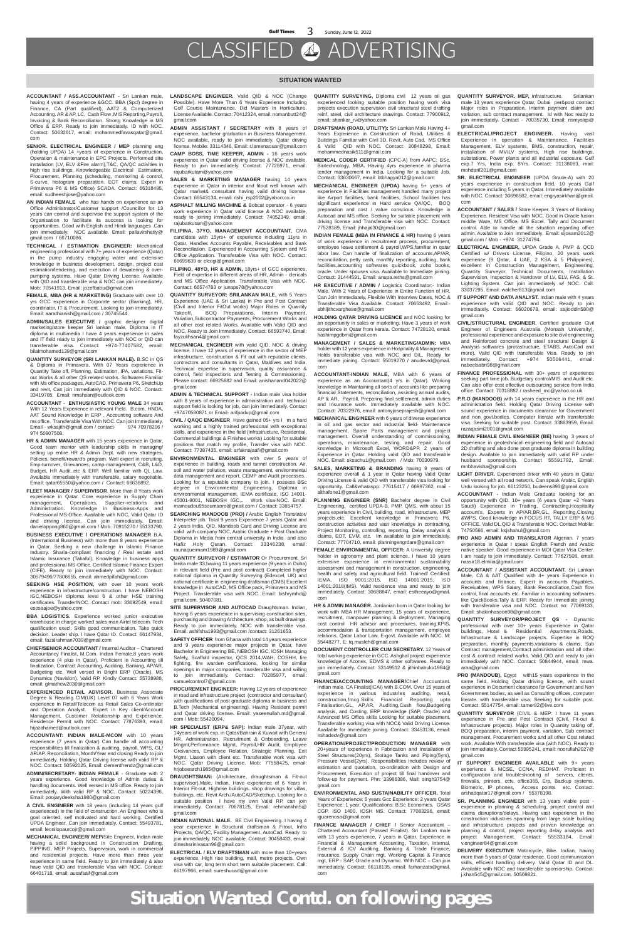#### **SITUATION WANTED**

- **ACCOUNTANT / ASS.ACCOUNTANT -** Sri Lankan male, having 4 years of experience &GCC. BBA (Spcl) degree in Finance, CA (Part qualified), AAT2 & Computerized Accounting. AR & AP, LC, Cash Flow ,MIS Reporting,Payroll, Invoicing & Bank Reconciliation. Strong Knowledge in MS Office & ERP. Ready to join immediately. ID with NOC. Contact: 50632617, email: mohammedfavasqatar@gmail. com
- **SENIOR. ELECTRICAL ENGINEER / MEP** planning eng (holding UPDA) 14 +years of experience in Construction, Operation & maintenance in EPC Projects. Performed site installation (LV, ELV &Fire alarm),T&C, QA/QC activities in high rise buildings. Knowledgeable Electrical Estimation, Procurement, Planning (scheduling, monitoring & control, S-curve, histogram preparation. EOT claims, Expert in Primavera P6 & MS Office) SCADA. Contact: 66318495, email: sudheeshjose@yahoo.com
- **AN INDIAN FEMALE** who has hands on experience as an Office Administrator/Customer support /Councillor for 13 years can control and supervise the support system of the Organisation to facilitate its success is looking for opportunities. Good with English and Hindi languages .Can join immediately. NOC available. Email: pallavirshetty@ gmail.com / 66710086.
- **TECHNICAL / ESTIMATION ENGINEER:** Mechanical engineering professional with 7+ years of experience (Qatar) in the pump industry engaging water and extensive knowledge in business development, design, project cost estimation/tendering, and execution of dewatering & overpumping systems. Have Qatar Driving License. Available with QID and transferable visa & NOC can join immediately. Mob: 70541913, Email: jozefbabu@gmail.com
- **FEMALE, MBA (HR & MARKETING)** Graduate with over 10 yrs GCC experience in Corporate sector (Banking), HR, coordinator, IT & Procurement. Looking to join immediately. Email: aarathianish@gmail.com / 30745544.
- **ADMIN/SALES EXECUTIVE /** graphic designer digital marketing/store keeper Sri lankan male. Diploma in IT diploma in multimedia I have 4 years experience in sales and IT field ready to join immediately with NOC or QID can transferable visa. Contact: +974-77407582, email: bilalmohamed139@gmail.com
- **QUANTITY SURVEYOR (SRI LANKAN MALE).** B.SC in QS & Diploma in Primavera. With 07 Years experience in Quantity Take off, Planning, Estimation, IPA, variations, Fitout Works & all other QS related works. Softwares Familiar with Ms office packages, AutoCAD, Primavera P6, SketchUp and revit, Can join immediately with QID & NOC. Contact: 33419785, Email: nmahsan@outlook.com
- **ACCOUNTANT ENTHUSIASTIC YOUNG MALE** 34 years With 12 Years Experience in relevant Field. B.com, HNDA, AAT Sound Knowledge in ERP , Accounting software And ms office. Transferable Visa With NOC. Can join Immediately. Email - wksajith@gmail.com / contact- 974 70978206 / 974 50907508.
- **HR & ADMIN MANAGER** with 15 years experience in Qatar, Good team mentor with leadership skills in managing/ setting up entire HR & Admin Dept. with new strategies, Policies, benefit/reward's program. Well expert in recruiting, Emp-turnover, Grievances, camp-management, C&B, L&D, Budget, HR Audit..etc & ERP. Well familiar with QL Law. Available immediately with transferable, salary negotiable. Email: qatar65550@yahoo.com / Contact: 66638892.
- **FLEET MANAGER / SUPERVISOR**. More than 8 Years work experience in Qatar. Core experience in Supply Chain management, Operations, Supplier-relations and Administration. Knowledge in Business-Apps and Professional MS-Office. Available with NOC, Valid Qatar ID and driving license. Can join immediately. Email: danieloppong860@gmail.com / Mob: 70915270 / 55133790.
- **BUSINESS EXECUTIVE / OPERATIONS MANAGER** B.A. (International Business) with more than 8 years experience in Qatar. Seeking a new challenge in Islamic Finance Industry. Sharia-compliant financing / Real estate and Islamic Insurance (Takaful). Knowledge in business apps

**SEEKING HSE POSITION, with over 10 years work** experience in infrastructure/construction. I have NEBOSH IGC,NEBOSH diploma level 6 & other HSE training certificates. Transfer/NOC. Contact mob: 33692549, email: esosaajoe@yahoo.com

and professional MS-Office. Certified Islamic Finance Expert (CIFE). Ready to join immediately with NOC. Contact: 30579496/77806655, email: ahmedpifah@gmail.com

**BBA LOGISTICS.** Experience worked junior executive warehouse in charge worked sales man Airtel telecom. Tech qualification execl. Skills good communication. Take quick decision. Leader ship. I have Qatar ID. Contact: 66147934, email: fazalrahman7039@gmail.com

**CHIEF/SENIOR ACCOUNTANT /** Internal Auditor – Chartered Accountancy Finalist, M.Com. Indian Female,8 years work experience (4 plus in Qatar). Proficient in Accounting till finalization, Contract Accounting, Auditing, Banking, AP/AR, Budgeting etc. Well versed in Bright ERP (Oracle), MS Dynamics (Navision). Valid RP. Kindly Contact: 55738988, email: glmathew2030@gmail.com

**EXPERIENCED RETAIL ADVISOR.** Business Associate Degree & Reading CIM(UK) Level 07 with 6 Years Work experience in Retail/Telecom as Retail Sales Co-ordinator and Operation Analyst. Expert in Key client/Account Management, Customer Relationship and Experience. Residence Permit with NOC. Contact: 77876393, email: hijazahamed@outlook.com

**ACCOUNTANT: INDIAN MALE-MCOM** with 10 years experience (7 years in Qatar) Can handle all accounting responsibilities till finalization & auditing, payroll, WPS, GL/ AR/AP. Reconciliation, Month/Year end closing Ready to join immediately. Holding Qatar Driving license with valid RP & NOC. Contact: 50592025, Email: clementfrendz@gmail.com

**SITE SUPERVISOR AND AUTOCAD** Draughtsman. Indian, having 6 years experience in supervising construction sites, purchasing and drawing Architecture, shop, as built drawings. Ready to join immediately. NOC with transferable visa. Email: ashifsha1993@gmail.com /contact: 31261653.

**ADMIN/SECRETARY- INDIAN FEMALE** - Graduate with 2 years experience. Good knowledge of Admin duties & handling documents. Well versed in MS office. Ready to join immediately. With valid RP & NOC. Contact: 50224396, Email: poojarydeeksha1980@gmail.com

**A CIVIL ENGINEER** with 18 years (including 14 years gulf experienced) in the field of construction. An Engineer who is goal oriented, self motivated and hard working. Certified UPDA Engineer. Can join immediately. Contact: 55493781, email: leonilopaurcojr@gmail.com

**MECHANICAL ENGINEER/ MEP/**Site Engineer, Indian male having a solid background in Construction. Drafting, PIPPING, MEP Projects, Supervision, work in commercial and residential projects. Have more than three year experience in same field. Ready to join immediately & also have valid QID and transferable Visa with NOC. Contact: 66401718, email: ausafsaif@gmail.com

- **LANDSCAPE ENGINEER.** Valid QID & NOC (Change Possible). Have More Than 6 Years Experience Including Golf Course Maintenance. Did Masters In Horticulture. License Available. Contact: 70412324, email: nomanbutt24@ gmail.com
- **ADMIN ASSISTANT / SECRETARY** with 8 years of experience, bachelor graduation in Business Management. NOC available, ready to join immediately, Qatar driving license. Mobile: 33114346, Email: r.lamenaouar@gmail.com
- **CAMP BOSS, TIME KEEPER, ADMIN -** 16 years work experience in Qatar valid driving license & NOC available. Ready to join immediately. Contact: 77725971, email: rajubarkutam@yahoo.com
- **SALES & MARKETING MANAGER** having 14 years experience in Qatar in interior and fitout well known with Qatar market& consultant having valid driving license. Contact: 66543134, email: rishi\_rsp2002@yahoo.co.in
- **ASPHALT MILLING MACHINE &** Bobcat operator 6 years work experience in Qatar valid license & NOC available, ready to joining immediately. Contact: 74052349, email: rajubarkutam@yahoo.com
- **FILIPINA, 37YO, MANAGEMENT ACCOUNTANT,** CMA candidate with 15yrs+ of experience including 11yrs in Qatar. Handles Accounts Payable, Receivables and Bank Reconciliation. Experienced in Accounting System and MS Office Application. Transferable Visa with NOC. Contact: 66699639 or elcogi@gmail.com
- **FILIPINO, 48YO, HR & ADMIN,** 18yrs+ of GCC experience, Field of expertise in different areas of HR, Admin - clericals and MS Office Application. Transferable Visa with NOC. Contact: 66574783 or junaps78@yahoo.com
- **QUANTITY SURVEYOR: SRILANKAN MALE,** with 5 Years Experience (UAE & Sri Lanka) in Pre and Post Contract (Civil and Interior FitOut works) Major Roles in Quantity Takeoff, BOQ Preparations, Interim Payment, Variation,Subcontractor Payments, Procurement Works and all other cost related Works. Available with Valid QID and NOC, Ready to Join Immediately, Contact: 66593740, Email: fayzulihsan4@gmail.com
- **MECHANICAL ENGINEER** with valid QID, NOC & driving license. I have 12 years of experience in the sector of MEP infrastructure, construction & Fit out with reputable clients, contractors and consultants in Qatar, Maldives and India. Technical expertise in supervision, quality assurance & control, field inspections and Testing & Commissioning. Please contact: 66925882 and Email: anishanand042022@ gmail.com
- **ADMIN & TECHNICAL SUPPORT** Indian male visa holder with 8 years of experience in administration and technical support field is looking for job, can join immediately. Contact +97470580871 or Email- arifpadup@gmail.com
- **CIVIL / QAQC ENGINEER** Have gained 05+ yrs I m a hard working and a highly trained professional with exceptional skills, and experience in the field (infrastructure, Residential, Commercial buildings & Finishes works) Looking for suitable positions that match my profile, Transfer visa with NOC. Contact: 77387435, email: arfaknajaafi@gmail.com
- **ENVIRONMENTAL ENGINEER** with over 5 years of experience in building, roads and tunnel construction. Air, soil and water pollution, waste management, environmental data management and report, CEMP and Audit processes.. Looking for a reputable company to join. I possess BSc degree in Environmental Engineering, Diploma in environmental management, IEMA certificate, ISO 14001- 45001-9001, NEBOSH IGC,.. Work visa-NOC. Email: mamoudou95soumaoro@gmail.com / Contact: 33654757.
- **SEARCHING MANDOOB (PRO) /** Arabic English Translator/ Interpreter job. Total 9 years Experience 7 years Qatar and 2 years India. QID, Mandoob Card and Driving License are valid with company NOC, Arabic Graduate + Post Graduate Diploma in Media from central university in India and also Hafiz Holy Quran. Contact: 33346238, email: raunaqueimam1989@gmail.com
- **QUANTITY SURVEYOR / ESTIMATOR** Or Procurement. Sri

lanka male 33,having 11 years experience (9 years in Doha) in relevant field (Pre and post contract) Completed higher national diploma in Quantity Surveying (Edexcel, UK) and national certificate in engineering draftsman (CMB) Excellent knowledge in AutoCAD, MS Office pack, Primavera and MS Project. Transferable visa with NOC. Email: bishrymhd@ gmail.com, 50407081.

**SAFETY OFFICER** from Ghana with total 14 years experience and 9 years experience major projects in Qatar, have Bachelor in Engineering BE, NEBOSH IGC, IOSH Managing Safely, Scaffold inspector, QCS 2014,WAH, COSHH, fire fighting, fire warden certifications, looking for similar openings in major companies, transferable visa and willing to join immediately. Contact: 70285977, email: samuelcontrol7@gmail.com

- **QUANTITY SURVEYOR. MEP, infrastructure.** Srilankan male 13 years experience Qatar, Dubai per&post contract Major roles in Preparation. Interim payment claim and variation, sub contract management. Id with Noc ready to join immediately. Contact - 70035730, Email: rismyslqs@ gmail.com
- **ELECTRICAL/PROJECT ENGINEER.** Having vast Experience in operation & Maintenance, Facilities Management, ELV systems, BMS, construction, repair, installation of MV/LV systems, High rise buildings, substations, Power plants and all industrial exposure. Gulf exp.7 Yrs, India exp. 8Yrs. Contact: 31138083, mail: mohdarif201@gmail.com
- **SR. ELECTRICAL ENGINEER** (UPDA Grade-A) with 20 years experience in construction field, 10 years Gulf experience including 5 years in Qatar. Immediately available with NOC. Contact: 30696582, email: engryasirkhan@gmail. com
- **ACCOUNTANT / SALES /** Store Keeper. 3 Years of Banking Experience. Resident Visa with NOC. Good in Oracle fusion middle Ware, MS Office, MS Excel. Tally and Document control. Able to handle all the situation regarding office admin. Available to Join immediately. Email: sijosam2012@ gmail.com / Mob - +974 31274794.
- **ELECTRICAL ENGINEER,** UPDA Grade A, PMP & QCD Certified w/ Drivers License, Filipino, 20 years work experience (9 Qatar, 4 UAE, 2 KSA & 5 Philippines), excellent in Construction Management, Engineering, Quantity Surveyor, Technical Documents, Installation Supervision, Inspection & Handover of LV, ELV, FAS, & St. Lighting System. Can join immediately w/ NOC. Call: 33037295, Email: walcher813@gmail.com
- **IT SUPPORT AND DATA ANALYST.** Indian male with 4 years experience with valid QID and NOC. Ready to join immediately. Contact: 66020678, email: sajioddin580@ gmail.com
- **CIVIL/STRUCTURAL ENGINEER**, Certified graduate Civil Engineer of Engineers Australia (Monash University), professional experience and exposure to site civil engineering and Reinforced concrete and steel structural Design & Analysis softwares (protastructure, ETABS, AutoCad and more). Valid QID with transferable Visa. Ready to join immediately. Contact: +974 50506441, email: nabeelsabri98@gmail.com
- FINANCE PROFESSIONAL with 30+ years of experience seeking part time job. Budgetary control/MIS and Audit etc. Can also offer cost effective outsourcing service from India office. Contact: 70318882 / rasheed\_mc@yahoo.co.uk
- **P.R.O (MANDOOB)** with 14 years experience in the HR and administration field. Holding Qatar Driving License with sound experience in documents clearance for Government and non govt.bodies. Computer literate with transferable visa. Seeking for suitable post. Contact: 33883959, Email: razaqasmi2001@gmail.com
- **INDIAN FEMALE CIVIL ENGINEER (BE)** having 3 years of experience in geotechnical engineering field and Autocad 2D drafting and also done post graduate diploma in building design. Available to join immediately with valid RP under husband sponsorship. Contact 55591792, Email: mnbhavisha@gmail.com
- **LIGHT DRIVER.** Experienced driver with 40 years in Qatar well versed with all road network. Can speak Arabic, English Urdu looking for job. 66123250, budeens893@gmail.com
- **ACCOUNTANT -** Indian Male Graduate looking for an opportunity with QID. 10+ years (6 years Qatar +2 Years Saudi) Experience in Trading, Contracting,Hospitality account's. Experts in AP/AR,BR,GL, Reporting,Closing &WPS. Good knowledge in FOCUS RT, TALLY ERP & MS OFFICE. Valid DL,QID & Transferable NOC. Contact Mobile: 74750566, email: ksjshahul@gmail.com
- PRO AND ADMIN AND TRANSLATOR Algerian. 7 years experience in Qatar i speak English French and Arabic native speaker. Good experience in MOI Qatar Visa Center. I am ready to join immediately. Contact: 77627508, email: nassir18.elmilia@gmail.com

**PROCUREMENT ENGINEER:** Having 12 years of experience in road and infrastructure project (contractor and consultant) with qualifications of post graduate diploma in business and B.Tech (Mechanical engineering). Having Resident permit and Qatar driving license. Email: yaseenullah.md@gmail. com / Mob: 55420094.

**HR SPECIALIST (ERP& SAP):** Indian male 37year, with 14years of work exp. in Qatar/Bahrain & Kuwait with General HR, Administration, Recruitment & Onboarding, Leave Mngmt,Performance Mgmt, Payroll,HR Audit, Employee Greivances, Employee Relation, Strategic Planning, Exit Mgmt, Liason with client etc. Transferable work visa with NOC. Qatar Driving License. Mob: 77558425, email: hrjobsearch1985@gmail.com

**DRAUGHTSMAN:** (Architecture, draughtsman & Fit-out supervisor).Male, Indian, Have experience of 6 Years in Interior Fit-out, Highrise buildings, shop drawings for villas, buildings, etc. Revit Arch./AutoCAD/Sketchup. Looking for a suitable position I have my own Valid RP, can join immediately. Contact: 70678125, Email: rehmankhn5@ gmail.com

**INDIAN NATIONAL MALE.** BE Civil Engineering. I having 4 year experience in Structural draftsman & Fitout, Infra Projects, QA/QC, Facility Management, AutoCad. Ready to join immediately. NOC available. Contact: 30458433, email: dineshsrinivasan96@gmail.com

**ELECTRICAL / ELV DRAFTSMAN** with more than 10+years experience, High rise building, mall, metro projects. Own visa with car, long term short term suitable placement. Call: 66197966, email: sureshucad@gmail.com

- **QUANTITY SURVEYING,** Diploma civil 12 years oil gas experienced looking suitable position having work visa projects execution supervision civil structural steel drafting reinf, steel, civil architecture drawings. Contact: 77900912, email: shankar\_rv@yahoo.com
- **DRAFTSMAN (ROAD, UTILITY):** Sri Lankan Male Having 4+ Years Experience in Construction of Road, Utilities & Buildings Familiar with Civil 3D, Revit, Auto Cad, MS Office & Valid QID with NOC. Contact: 30848298, Email: mohammednasik511@gmail.com
- **MEDICAL CODER CERTIFIED** (CPC-A) from AAPC; BSc. Biotechnology, MBA. Having 4yrs experience in pharma tender management in India. Looking for a suitable Job. Contact: 33630667, email: btbhagya012@gmail.com
- **MECHANICAL ENGINEER (UPDA)** having 5+ years of experience in Facilities management handled many project like Airport facilities, bank facilities, School facilities has significant experience in Hard service QA/QC, BOQ preparation and cost / value conscious. Knowledge in Autocad and MS office. Seeking for suitable placement with driving license and Transferable visa with NOC. Contact: 77528189, Email: jhhajal30@gmail.com
- **INDIAN FEMALE (MBA IN FINANCE & HR)** having 6 years of work experience in recruitment process, procurement, employee leave settlement & payroll,WPS,familiar in qatar labor law. Can handle of finalization of accounts,AP/AR, reconciliation, petty cash, monthly reporting, auditing, bank facilities,accounting softwares quickbook, zoho books, oracle. Under spouses visa. Available to Immediate joining. Contact: 31444591, Email: anupa.reths@gmail.com
- **HR EXECUTIVE / ADMIN /** Logistics Coordinator:- Indian Male. With 2 Years of Experience in Entire Function of HR, Can Join Immediately, Flexible With Interview Dates, NOC & Transferable Visa Available. Contact: 70653492, Email: abhijithcvarghese@gmail.com
- **HOLDING QATAR DRIVING LICENCE** and NOC looking for an opportunity in sales or marketing. Have 3 years of work experience in Qatar from kerala. Contact: 74728120, email: hashimpgdbm@gmail.com
- **MANAGEMENT / SALES & MARKETING/ADMIN:** MBA holder with 12 years experience in Hospitality & Management. Holds transferable visa with NOC and D/L. Ready for immediate joining. Contact: 55019270 / anudevrd@gmail. com
- **ACCOUNTANT-INDIAN MALE,** MBA with 6 years of experience as an Accountant(4 yrs in Qatar). Working knowledge in Maintaining all sorts of accounts like preparing financial Statements, reconciliation, assisting annual audits, AP & AR, Payroll, Preparing final settlement, admin duties and Insurance work. Immediately available with NOC. Contact: 70322976, email: antonyjoseprajesh@gmail.com
- **MECHANICAL ENGINEER** with 6 years of diverse experience in oil and gas sector and industrial field- Maintenance management, Spare Parts management and project management. Overall understanding of commissioning, operations, maintenance, testing and repair. Good knowledge in Microsoft Excel, WORD&PP. 2 years of Experience in Qatar. Holding valid QID and transferable NOC. Email: sksachu1@gmail.com / Mob: 70030979.
- **SALES, MARKETING & BRANDING** having 9 years of experience overall & 1 year in Qatar having Valid Qatar Driving License & valid QID with transferable visa looking for opportunity. Call&whataspp: 77615417 / 66997362, mail althafone1@gmail.com
- **PLANNING ENGINEER (SNR)** Bachelor degree in Civil Engineering, certified UPDA-B, PMP, QMS, with about 15 years experience in Civil, building, road, infrastructure, MEP projects,etc. Excellent knowledge in Primavera P6, construction activities and vast knowledge in contracting, Project Monitoring, controlling, reporting. Delay analysis & claims, EOT, EVM, etc. Im available to join immediately. Contact: 77704710, email: planningengrdare@gmail.com
- **FEMALE ENVIRONMENTAL OFFICER:** A University degree holder in agronomy and plant science. I have 10 years extensive experience in environmental sustainability

assessment and management in construction, engineering, health and safety and agricultural field. Trained/ Certified: IEMA, ISO 9001:2015, ISO 14001:2015, ISO 14001:2018(IMS). Valid residence visa and ready to join immediately. Contact: 30688847, email: estheeayo@gmail. com

**HR & ADMIN MANAGER.** Jordanian born in Qatar looking for work with MBA HR Management, 15 years of experience, recruitment, manpower planning & deployment, Managing cost control HR advisor and procedures, training,KPIS, accommodation & transportation management, employee relations, Qatar Labor Law, E-govt. Available with NOC. M: 55448277, E: tq.musleh@gmail.com

**DOCUMENT CONTROLLER CUM SECRETARY.** 12 Years of total working experience in GCC. Ashghal project experience knowledge of Aconex, EDMS & other softwares. Ready to join immediately. Contact: 33149512 & jithinbabukv1984@ gmail.com

**FINANCE/ACCOUNTING MANAGER/**Chief Accountant. Indian male. CA Finalist(ICAI) with B.COM. Over 15 years of experience in various industries auditing, retail, construction,fmcg.Skills Financial Reporting upto Finalisation,GL, AP,AR, Auditing,Cash flow,Budgeting analysis, and Costing. ERP knowledge (SAP, Oracle) and Advanced MS Office skills Looking for suitable placement. Transferable working visa with NOC& Valid Driving License. Available for immediate joining. Contact: 33453136, email: irshadedv@gmail.com

**OPERATION/PROJECT/PRODUCTION MANAGER** with 20+years of experience in Fabrication and Installation of Steel Structures(20yrs), Storage Tanks and Piping(5yrs), Pressure Vessel(2yrs). Responsibilities includes review of estimation and quotation, co-ordination with Design and Procurement, Execution of project till final handover and follow-up for payment. Phn: 33986386, Mail: singh3754@ gmail.com

**ENVIRONMENTAL AND SUSTAINABILITY OFFICER.** Total Years of Experience: 5 years Gcc Experience: 2 years Qatar Experience: 1 year. Qualifications: B.Sc Economics. GSAS CGP. ISO 1400. IOSH MS. Contact: 77083296, email: iguarenosa@gmail.com

**FINANCE MANAGER / CHIEF /** Senior Accountant – Chartered Accountant (Passed Finalist). Sri Lankan male with 13 years experience, 7 years in Qatar. Experience in Financial & Management Accounting, Taxation, Internal, External & ICV Auditing, Banking & Trade Finance, Insurance, Supply Chain mgt, Working Capital & Finance mgt, ERP - SAP, Oracle and Dynamic. With NOC – Can join immediately. Contact: 66118135, email: farhanzats@gmail. com

**ACCOUNTANT / ASSISTANT ACCOUNTANT.** Sri Lankan Male, CA & AAT Qualified with 4+ years Experience in accounts and finance. Expert in accounts Payables, Receivables, WPS Salary, Bank Reconciliation,Cash flow control, final accounts etc. Familiar in accounting softwares like QuickBooks,Tally & ERP. Ready for Immediate joining with transferable visa and NOC. Contact no: 77069133, Email: shakinhasoon98@gmail.com

**QUANTITY SURVEYOR/PROJECT QS -** Dynamic professional with over 10+ years Experience in Qatar buildings, Hotel & Residential Apartments,Roads, Infrastructure & Landscape projects. Expertise in BOQ preparation, monthly payments,variations & claims, Sub Contract management,Contract administration and all other cost & contract related works. Valid QID and ready to join immediately with NOC. Contact: 50844944, email: mwa. araa@gmail.com

**PRO (MANDOUB),** Egypt with15 years experience in the same field. Holding Qatar driving licence, with sound experience in Document clearance for Government and Non Government bodies, as well as Consulting offices, computer literate. with transferable visa. Seeking for suitable post. Contact: 55147754, email: tamer82@live.com

**QUANTITY SURVEYOR** (CIVIL & MEP: I have 11 years experience in Pre and Post Contract (Civil, Fit-out & Infrastructure projects). Major roles in Quantity taking off, BOQ preparation, interim payment, variation, Sub contract management, Procurement works and all other Cost related work. Available With transferable visa (with NOC). Ready to join Immediately. Contact 55995241, email: noorullah2027@ gmail.com

**IT SUPPORT ENGINEER AVAILABLE** with 9+ years experience & MCSE, CCNA, REDHAT. Proficient in configuration and troubleshooting of servers, clients, firewalls, printers, cctv, office365, Erp, Backup systems, Biometric, IP phones, Access points etc. Contact: arshadqatar17@gmail.com / 55378198.

**SR. PLANNING ENGINEER** with 13 years viable post experience in planning & scheduling, project control and claims disruptions/delays. Having vast experience in the construction industries spanning from large scale building and infrastructure projects and proven knowledge on planning & control, project reporting delay analysis and project Management. Contact: 55533184, Email: v.engineer84@gmail.com

**DELIVERY EXECUTIVE** Motorcycle, Bike. Indian, having more than 5 years of Qatar residence. Good communication skills, efficient handling delivery. Valid Qatar ID and DL. Available with NOC and transferable sponsorship. Contact: j.khan545@gmail.com, 50569821.

**Situation Wanted Contd. on following pages**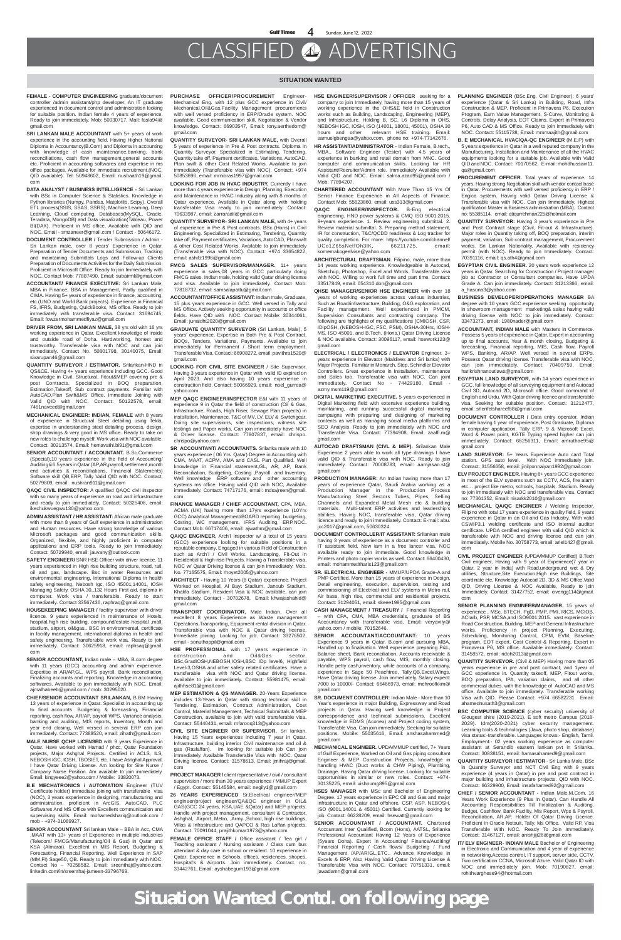#### **SITUATION WANTED**

- **FEMALE COMPUTER ENGINEERING** graduate/document controller /admin assistant/php developer. An IT graduate experienced in document control and administration looking for suitable position. Indian female 4 years of experience. Ready to join immediately. Mob: 50030717, Mail: fasla94@ gmail.com
- **SRI LANKAN MALE ACCOUNTANT** with 5+ years of work experience in the accounting field. Having Higher National Diploma in Accountancy(B.Com) and Diploma in accounting with knowledge of cash maintenance,banking, bank reconciliations, cash flow management,general accounts etc. Proficient in accounting softwares and expertise in ms office packages. Available for immediate recruitment.(NOC, QID available). Tel: 50948602, Email: nushaath19@gmail. com
- **DATA ANALYST / BUSINESS INTELLIGENCE -** Sri Lankan with BSc in Computer Science & Statistics. Knowledge in Python libraries (Numpy, Pandas, Matplotlib, Scipy), Overall ETL process(SSIS, SSAS, SSRS), Machine Learning, Deep Learning, Cloud computing, Databases(MySQL, Oracle, Teradata, MongoDB) and Data visualization(Tableau, Power BI(DAX). Proficient in MS office. Available with QID and NOC. Email - smzaneer@gmail.com / Contact - 50646172.
- **DOCUMENT CONTROLLER /** Tender Submission / Admin Sri Lankan male, over 8 years' Experience in Qatar. Preparation of Tender Documents and Submission, Tracking and maintaining Submittals Logs and Follow-up Clients Preparation of Documents Activities for the Daily Submission. Proficient in Microsoft Office. Ready to join Immediately with NOC. Contact Mob: 77887490, Email: subairml@gmail.com
- **ACCOUNTANT/ FINANCE EXECUTIVE:** Sri Lankan Male, MBA in Finance, BBA in Management, Partly qualified in CIMA. Having 5+ years of experience in finance, accounting, etc.(UNO and World Bank projects). Experience in Financial FS, IFRS, Budgeting, QuickBooks, MS office. Ready to join immediately with transferable visa. Contact: 31694745, Email: fowzermohammedfiyaz@gmail.com
- **DRIVER FROM, SRI LANKAN MALE,** 38 yrs old with 16 yrs working experience in Qatar. Excellent knowledge of inside and outside road of Doha. Hardworking, honest and trustworthy. Transferable visa with NOC and can join immediately. Contact No. 50801798, 30140075, Email: sivarupan46@gmail.com
- **QUANTITY SURVEYOR / ESTIMATOR.** Srilankan-HND in QS&CE. Having 4+ years experience including GCC. Good Knowledge in Civil, Structural, Fitout&MEP covering pre & post Contracts. Specialized in BOQ preparation, Estimation,Takeoff, Sub contract payments. Familiar with AutoCAD,Plan Swift&MS Office. Immediate Joining with Valid QID with NOC. Contact: 50122578, email: 7461naveed@gmail.com
- **MECHANICAL ENGINEER: INDIAN, FEMALE** with 8 years of experience in Structural Steel detailing using Tekla, expertise in understanding steel detailing process, design, shop drawings & very good in MS office. Ready to take on new roles to challenge myself. Work visa with NOC available. Contact: 30213574, Email: hemavathi.bi91@gmail.com
- **SENIOR ACCOUNTANT / ACCOUNTANT.** B.Sc.Commerce (Special),10 years experience in the field of Accounting/ Auditing & 6.5 years in Qatar.(AP,AR,payroll,settlement,month end activities & reconciliations, Financial Statements) Software skill QB,ERP, Tally Valid QID with NOC. Contact: 50279809, email: nushran911@gmail.com
- **QAQC CIVIL INSPECTOR:** A qualified QAQC civil inspector with so many years of experience on road and infrastructure and ready to join immediately. Contact: 50325406, email: ikechukwuegwu130@yahoo.com
- **ADMIN ASSISTANT / HR ASSISTANT:** African male graduate with more than 8 years of Gulf experience in administration and Human resources. Have strong knowledge of various Microsoft packages and good communication skills. Organized, flexible, and highly proficient in computer applications and ERP tools. Ready to join immediately. Contact: 50729940, email: jauvany@outlook.com
- **SAFETY ENGINEER/** SNR HSE Officer with driver licence. 11

years experienced in High rise building structure, road, rail, oil and gas, landscape. Bsc in water Resources and environmental engineering, International Diploma in health safety engineering, Nebosh Igc, ISO 45001,14001, IOSH Managing Safety, OSHA 30,,132 Hours First aid, diploma in computer. Work visa / transferable. Ready to start immediately. Contact 33567436, raphraq@gmail.com

**HOUSEKEEPING MANAGER /** facility supervisor with driver licence. 9 years experienced in maintenance of Hotels, hospital,high rise building, compound/estate hospital ,mall, stadium, airport, oil&gas.. BSC in environmental, certificate in facility management, international diploma in health and safety engineering. Transferable work visa. Ready to join immediately. Contact: 30625918, email: raphsaq@gmail. com

**SENIOR ACCOUNTANT,** Indian male – MBA, B.com degree with 11 years (GCC) accounting and admin experience. Expertise in AR/AP,GL, WPS payroll, Bank reconciliation, Finalizing accounts and reporting. Knowledge in accounting softwares. Available to join immediately with NOC. Email: ajmalhabeeb@gmail.com / mob: 30295020.

**CHIEF/SENIOR ACCOUNTANT SRILANKAN,** B.BM Having 13 years of experience in Qatar. Specialist in accounting up to final accounts. Budgeting & forecasting, Financial reporting, cash flow, AR/AP, payroll WPS, Variance analysis, banking and auditing, MIS reports, Inventory, Month and year end closing, Well versed in several ERP can join immediately. Contact: 77388520, email: zihath@gmail.com

**MALE NURSE QCHP LICENSED** with 9 years Experience in Qatar. Have worked with Hamad / phcc, Qatar Foundation projects, Major Ashghal Projects. Certified in ACLS, ILS, NEBOSH IGC, IOSH, TBOSIET, etc. I have Ashghal Approval, I have Qatar Driving License. Am looking for Site Nurse / Company Nurse Position. Am available to join immediately. Email: kingyeee2@yahoo.com / Mobile: 33820073.

**B.E MECHATRONICS / AUTOMATION** Engineer (TUV Certificate holder) immediate joining with transferable visa (NOC), 3 years experience in designing, manufacturing and administration, proficient in ArcGIS, AutoCAD, PLC Softwares And MS Office with Excellent communication and supervising skills. Email: mohamedshariq@outlook.com / mob - +974-31089927.

**SENIOR ACCOUNTANT** Sri lankan Male – BBA in Acc, CMA ,MAAT with 13+ years of Experience in multiple industries (Telecom/ FMCG/Manufacturing/Oil & Gas) in Qatar and KSA (Almarai). Excellent in MIS Report, Budgeting & Forecasting, Financial Reporting. Well Experience in SAP (MM,FI) Sage50, QB. Ready to join immediately with NOC. Contact No – 70258582, Email: sreenthaj@yahoo.com. linkedin.com/in/sreenthaj-jameen-33796769.

- **PURCHASE OFFICER/PROCUREMENT** Engineer-Mechanical Eng. with 12 plus GCC experience in Civil/ Mechanical,Oil&Gas,Facility Management procurements with well versed proficiency in ERP/Oracle system. NOC available. Good communication skill, Negotiation & Vendor knowledge. Contact: 66903547, Email: tony.aerthedom@ gmail.com
- **QUANTITY SURVEYOR- SRI LANKAN MALE,** with Overall 5 years of experience in Pre & Post contracts. Diploma in Quantity Surveyor. Specialized in Estimating, Tendering, Quantity take off, Payment certificates, Variations, AutoCAD, Plan swift & other Cost Related Works. Available to join immediately (Transferable visa with NOC). Contact: +974 50853696, email: mrnibras1997@gmail.com
- **LOOKING FOR JOB IN HVAC INDUSTRY,** Currently I have more than 4 years experience in Design, Planning, Execution and Maintenance in HVAC Industry along with 8 months of Qatar experience. Available in Qatar along with holding transferable Visa ready to join immediately. Contact: 70633987, email: zarraradil@gmail.com
- **QUANTITY SURVEYOR- SRI LANKAN MALE,** with 4+ years of experience in Pre & Post contracts. BSc (Hons) in Civil Engineering. Specialized in Estimating, Tendering, Quantity take off, Payment certificates, Variations, AutoCAD, Planswift & other Cost Related Works. Available to join immediately (Transferable visa with NOC). Contact: +974 33654822, email: ashifz1996@gmail.com
- **FMCG SALES SUPERVISOR/MANAGER.** 11+ years experience in sales,08 years in GCC particularly doing FMCG sales. Indian male, holding valid Qatar driving license and visa. Available to join immediately. Contact Mob: 77818732, email: samsalapattu@gmail.com
- **ACCOUNTANT/OFFICE ASSISTANT:** Indian male, Graduate, 15 plus years experience in GCC. Well versed in Tally and MS Office. Actively seeking opportunity in accounts or office fields. Have QID with NOC. Contact Mobile: 30344061, Email: junaidht2020@gmail.com
- **GRADUATE QUANTITY SURVEYOR** (Sri Lankan, Male), 5 years' experience. Expertise in Both Pre & Post Contract, BOQs, Tenders, Variations, Payments. Available to join immediately for Permanent / Short term employment. Transferable Visa. Contact: 66908272, email: pavithra1520@ gmail.com
- **LOOKING FOR CIVIL SITE ENGINEER** / Site Supervisor. Having 3 years experience in Qatar with valid ID expired on April 2023. And also having 10 years experience in construction field. Contact: 50066929, email: noel\_gurrea@ yahoo.com
- **MEP QAQC ENGINEER/INSPECTOR** E&I with 11 years of experience 9 in Qatar the field of construction (Oil & Gas, Infrastructure, Roads, High Riser, Sewage Plan projects) in installation, Maintenance, T&C of MV. LV. ELV & Switchgear, Doing site supervisions, site inspections, witness site testings and Paper works. Can join immediately have NOC & Driver license. Contact: 77807837, email: chrispo. chrispo@yahoo.com
- **SR ACCOUNTANT/ ACCOUNTANTS.** Srilanka male with 10 years experience ( 06 Yrs Qatar) Degree in Accounting with CMA, MAAT, ACPM, AMA and CASL Part Qualified. Well knowledge in Financial statement,GL, AR, AP, Bank Reconciliation, Budgeting, Costing ,Payroll and Inventory. Well knowledge ERP software and other accounting systems ms office. Having valid QID with NOC, Available immediately. Contact: 74717176, email: mdsajreen@gmail. com
- **FINANCE MANAGER / CHIEF ACCOUNTANT,** CPA, MBA, ACMA (UK) having more than 17yrs experience (10Yrs GCC) Analytical Management/BOARD reporting, budgeting, Costing, WC management, IFRS Auditing, ERP.NOC. Contact Mob: 66717406, email: ajwathm@gmail.com
- **QA/QC ENGINEER,** Arch'l Inspector w/ a total of 15 years (GCC) experience looking for suitable positions in a reputable company. Engaged in various Field of Construction such as Arch'l / Civil Works, Landscaping, Fit-Out in Residential & High-rise Projects. Having a Transferable visa,

SENIOR ACCOUNTANT/ACCOUNTANT: 10 years Experience 9 years in Qatar. B.com and pursuing MBA. Handled up to finalisation. Well experience preparing P&L, Balance sheet, Bank reconciliation, Accounts receivable & payable, WPS payroll, cash flow, MIS, monthly closing. Handle petty cash,inventory, while accounts of a company, experience in Sage 50 Peachtree, Tally,QB,Excel,Wings. Have Qatar driving license. Join immediately. Salary expect: 7000 to 10000/- Contact: 66466973, email: mehroofkkm@ gmail.com

- **PLANNING ENGINEER** (BSc.Eng, Civil Engineer): 6 years' experience (Qatar & Sri Lanka) in Building, Road, Infra Construction & MEP. Proficient in Primavera P6, Execution Program, Earn Value Management, S-Curve, Monitoring & Controls, Delay Analysis, EOT Claims, Expert in Primavera P6, Auto CAD & MS Office. Ready to join immediately with NOC. Contact: 55115738, Email: mmmaajith@gmail.com
- **B. E MECHANICAL HVAC/QA-QC ENGINEER** (M.E.P) with 5 years experience in Qatar in a well reputed company in the Manufacturing, Installation and Maintenance of all the HVAC equipments looking for a suitable job. Available with Valid QID and NOC. Contact: 70170562, E-mail: mohdhussain11. qa@gmail.com
- PROCUREMENT OFFICER. Total years of experience. 14 years. Having strong Negotiation skill with vendor contact base in Qatar. Procurements with well versed proficiency in ERP / Engica system. Having valid Qatari Driving License & Transferable visa with NOC. Can join Immediately. Highest qualification Master in Business administration (MBA). Contact no: 55385114, email: atiqurrehman225@hotmail.com
- **QUANTITY SURVEYOR:** Having 3 year's experience in Pre and Post Contract stage (Civil, Fit-out & Infrastructure). Major roles in Quantity taking off, BOQ preparation, interim payment, variation, Sub contract management, Procurement works. Sri Lankan Nationality, Available with residency permit (with NOC). Ready to join Immediately. Contact: 70391116, email: qs.ath4@gmail.com
- **EGYPTIAN CIVIL ENGINEER.** 20 years work experience 12 years in Qatar. Searching for Construction / Project manager job at Contractor or Consultant companies. Have UPDA Grade A. Can join immediately. Contact: 31213366, email: a\_hasuna3@yahoo.com
- **BUSINESS DEVELOPER/OPERATIONS MANAGER** BA degree with 10 years GCC experience seeking opportunity in showroom management marketing& sales having valid driving license with NOC to join immediately. Contact: 33473273, email: 1980nader@gmail.com
- **ACCOUNTANT, INDIAN MALE** with Masters in Commerce. Possess 5 years of experience in Qatar. Expert in accounting up to final accounts, Year & month closing, Budgeting & forecasting, Financial reporting, MIS, Cash flow, Payroll WPS, Banking, AR/AP. Well versed in several ERPs. Possess Qatar driving license. Transferable visa with NOC, can join immediately. Contact: 70409759, Email: harikrishnanoutlaws@gmail.com
- **EGYPTIAN LAND SURVEYOR,** with 14 years experience in GCC, full knowledge of all surveying equipment and Autocad Civil 3D, Autocad 2D, Microsoft office. Good command of English and Urdu. With Qatar driving licence and transferable visa. Seeking for suitable position. Contact: 31212477, email: sherifelshareef88@gmail.com
- **DOCUMENT CONTROLLER /** Data entry operator, Indian female having 1 year of experience, Post Graduate, Diploma in computer application, Tally ERP. 9 & Microsoft Excel, Word & Power point, KGTE Typing speed higher can join immediately. Contact: 66256311, Email: amruthae95@ gmail.com
- **LAND SURVEYOR:** 5+ Years Experience Auto card Total station. GPS auto level. With NOC immediately join. Contact: 31556658, email: jinilponnaiyan1992@gmail.com
- **ELV PROJECT ENGINEER.** Having 6+ years GCC experience in most of the ELV systems such as CCTV, ACS, fire alarm etc… project like metro, schools, hospitals. Stadium. Ready to join immediately with NOC and transferable visa. Contact no: 77361352, Email: nisarkk2010@gmail.com
- **MECHANICAL QA/QC ENGINEER /** Welding Inspector, Filipino with total 17 years experience in quality field, 9 years experience in Qatar in an Oil and Gas Industry. With valid CSWIP3.1 welding certificate and ISO internal auditor certificate. UPDA certified engineer with valid QID which is transferable with NOC and driving license and can join immediately. Mobile No. 30758773, email: ariel1427@gmail. com
- **CIVIL PROJECT ENGINEER** (UPDA/MMUP Certified) B.Tech Having with 9 year of Exp

NOC w/ Qatar Driving license & can join immediately. Mob. No. 77165575, Email: rhoyet2005@yahoo.com

**ARCHITECT -** Having 10 Years (8 Qatar) experience. Project Worked on Hospital, Al Bayt Stadium, Janoub Stadium, Khalifa Stadium. Resident Visa & NOC available, can join immediately. Contact - 30702678, Email: khwajashahid@ gmail.com

**TRANSPORT COORDINATOR.** Male Indian. Over all excellent 8 years Experience as Waste management Operations,Transporting, Equipment rental division in Qatar. Transferable visa with NOC & Qatar driving license. Immediate joining. Looking for job. Contact: 33276502, email - sonuthoppil@gmail.com

**HSE PROFESSIONAL** with 17 years experience in construction and Oil&Gas sector. BSc,GradIOSH,NEBOSH,IOSH,BSC IDp level6, Highfield Level-3,OSHA and other safety related certificates. Have a transferable visa with NOC and Qatar driving license. Available to join immediately. Contact: 55981475, email: ajithhse81@gmail.com

**MEP ESTIMATION & QS MANAGER.** 20-Years Experience includes 13-Years in Qatar with strong technical skill in Tendering, Estimation, Contract Administration, Cost Control, Material Management, Technical Submittals & MEP Construction, available to join with valid transferable visa. Contact: 55440431, email: mfarooq313@yahoo.com

**CIVIL SITE ENGINEER OR SUPERVISOR.** Sri lankan. Having 15 Years experiences including 7 year in Qatar. Infrastructure, building interior Civil maintenance and oil & gas (Raslaffan). Im looking for suitable job Can join immediately. Available Transferable Visa with NOC. Qatar Driving license. Contact: 31578613, Email: jmihraj@gmail. com

**PROJECT MANAGER /** client representative / civil / consultant supervision / more than 30 years experience / MMUP Expert / Egypt. Contact: 55145584, email: negily1@gmail.com

**26 YEARS EXPERIENCED** Sr.Electrical engineer/MEP engineer/project engineer/QA&QC engineer in OIL& GAS(GCC 24 years, KSA,UAE &Qatar) and MEP projects. Handle with project management, consultant & Contractor. Ashghal, Airport, Metro, ,Army ,School, high rise buildings, Villas & Infrastructure and QAPCO & Ras Laffan projects. Contact. 70091044, prajithkumar1973@yahoo.com

**FEMALE OFFICE STAFF /** Office assistant / Tea girl / Teaching assistant / Nursing assistant / Class cum bus attendant & day care in school or resident. 10 experience in Qatar. Experience in Schools, offices, residences, shopes, Hospital's & Airports. Join immediately. Contact. no. 33442761, Email: ayshabegum193@gmail.com

**IT/ ELV ENGINEER- INDIAN MALE** Bachelor of Engineering in Electronic and Communication and 4 year of experience in networking,Access control, IT support, server side, CCTV, Two certification CCNA, Microsoft Azure. Valid Qatar ID with NOC and immediately join. Mob: 70190827, email: rohithvarghese94@hotmail.com

- **HSE ENGINEER/SUPERVISOR / OFFICER** seeking for a company to join Immediately, having more than 15 years of working experience in the OHS&E field in Construction works such as Building, Landscaping, Engineering (MEP), and Infrastructure. Holding B, SC, L6 Diploma in OHS, NEBOSH IGC, IOSH, ISO (14001, 18001, 45001), OSHA 30 hours and other relevant HSE training. Email: samuelgbengaa@yahoo.com, phone no: +974-77142676.
- **HR ASSISTANT/ADMINISTRATOR -** Indian Female, B.tech., MBA., Software Engineer (Tester) with 4.5 years of experience in banking and retail domain from MNC. Good computer and communication skills. Looking for HR Assistant/Recruiter/Admin role. Immediately Available with Valid QID and NOC. Email: salma.azad95@gmail.com / Mob: 77894207.
- **CHARTERED ACCOUNTANT** With More Than 15 Yrs Of Senior Finance Experience in All Aspects of Finance. Contact Mob: 55623860, email: uss313@gmail.com
- **QAQC ENGINEER/INSPECTOR.** B-Eng electrical engineering. HND power systems & CMQ ISO 9001:2015. 9+years experience. 1. Review engineering submittal. 2. Review material submittal. 3. Preparing method statement, IR for construction, T&C/QCDD readiness & Log tracker for quality completion. For more: https://youtube.com/channel/<br>UCo1Z65sNetfOh3lK, 66211725, email: UCo1Z65sNetfOh3lK, komemakogeelvise@yahoo.com
- **ARCHITECTURAL DRAFTSMAN**. Filipino, male, more than 14 years working experience. Knowledgeable in Autocad, Sketchup, Photoshop, Excel and Words. Transferable visa with NOC. Willing to work full time and part time. Contact: 33517849, email: 054310.don@gmail.com
- **QHSE MANAGER/SENIOR HSE ENGINEER** with over 18 years of working experiences across various industries, Such as Road/infrastructure, Building, O&G exploration, and Facility management. Well experienced in PMCM, Supervision Consultants and contracting company. The following are highlights of my qualifications (CMIOSH, CSP, IDipOSH, (NEBOSH-IGC, FSC, PSM), OSHA-30Hrs, IOSH-MS, ISO 45001, and B.Tech. (Hons.) Qatar Driving License & NOC available. Contact: 30096117, email: hsework123@ gmail.com
- **ELECTRICAL / ELECTRONICS / ELEVATOR** Engineer. 3+ years experience in Elevator (Maldives and Sri lanka) with Major Projects. Familiar in Monarch, Step, Schindler Elevator Controllers. Great experience in Installation, maintenance and Sales too. Transferable visa with NOC. Can joint immediately. Contact No - 74429180, Email azmy.msm119@gmail.com
- **DIGITAL MARKETING EXECUTIVE.** 5 years experienced in Digital Marketing field with extensive experience building, maintaining, and running successful digital marketing campaigns with preparing and designing of marketing contents as well as managing social media platforms and SEO Analysis. Ready to join immediately with NOC and Transferable Visa. Contact: 77394908, Email: zaaffi.m@ gmail.com
- **AUTOCAD DRAFTSMAN (CIVL & MEP).** Srilankan Male Experience 2 years able to work all type drawings I have valid QID & Transferable visa with NOC, Ready to join immediately. Contact: 70008783, email: aamjasan.st@ gmail.com
- **PRODUCTION MANAGER:** An Indian having more than 17 years of experience Qatar, Saudi Arabia working as a Production Manager in the Production Process Manufacturing Steel Sectors Tubes, Pipes, Selling Channels and Expanded Metal Mesh etc & building materials. Multi-talent ERP activities and leadership's abilities. Having NOC, transferable visa, Qatar driving licence and ready to join immediately. Contact: E-mail: abu. jcc2017@gmail.com, 50630324.
- **DOCUMENT CONTROLLER/IT ASSISTANT:** Srilankan male having 3 years of experience as a document controller and IT assistant field. Now iam in a free lancer visa, NOC available ready to join immediate. Good knowledge in Printers and photo copier works as well. Contact: 66400430,

email: mohammedtharis123@gmail.com

**SR. ELECTRICAL ENGINEER -** MMUP/UPDA Grade-A and PMP Certified. More than 15 years of experience in Design, Detail engineering, execution, supervision, testing and commissioning of Electrical and ELV systems in Metro rail, Air base, high rise, commercial and residential projects. Contact: 31294051, email: skeee1985@gmail.com

**CASH MANAGEMENT / TREASURY /** Financial Reporting – with CPA, CMA, MBA credentials, graduate of BS Accountancy with transferable visa. Email: veryavily@ yahoo.com / mobile: 70152646.

**SR. DOCUMENT CONTROLLER**: Indian Male - More than 10 Year's experience in major Building, Expressway and Road projects in Qatar. Having well knowledge in Project correspondence and technical submissions. Excellent knowledge in EDMS (Aconex) and Project coding system, Transferable Visa, Can join immediately. Seeking for suitable positions. Mobile: 55035616, Email: anshasahammed@ gmail.com

**MECHANICAL ENGINEER.** UPDA/MMUP certified, 7+ Years of Gulf Experience, Worked on Oil and Gas piping consultant Engineer & MEP Construction Projects, knowledge in handling HVAC (Duct works & CHW Piping), Plumbing, Drainage. Having Qatar driving license. Looking for suitable opportunities in similar or new roles. Contact: +974- 30135225, email: vishnumg895@gmail.com

**HSES MANAGER** with MSc and Bachelor of Engineering Degree. 17 years experience in EPC Oil and Gas and major infrastructure in Qatar and offshore. CSP, ASP, NEBOSH, ISO (9001,14001 & 45001) Certified. Currently looking for job. Contact: 66228209, email: hsewatt@gmail.com

**SENIOR ACCOUNTANT / ACCOUNTANT.** Chartered Accountant Inter Qualified, Bcom (Hons), AATSL, Srilanka Professional Accountant Having 12 Years of Experience (5years Doha). Expert in Accounting/ Finance/Auditing/ Financial Reporting / Cash flows/ Budgeting / Fund Management /AP/AR/GL,ETC.. Advance Knowledge in Excels & ERP, Also Having Valid Qatar Driving License & Transferable Visa with NOC. Contact: 70751331, email: jawadamn@gmail.com

Qatar, 2 year in India) with Road,underground wet & Dry utilities, Structure,Site Execution,High rise Buildings, Site coordinate etc, Knowledge Autocad 2D, 3D & MS Office,Valid QID, Driving License & NOC Available, Ready to join Immediately. Contact: 31427752, email: civengg114@gmail. com

**SENIOR PLANNING ENGINEER/MANAGER.** 15 years of experience , MSc, BTECH, PgD, PMP, PMI, RICS, MCIOB, ACIarb, PSP, MCSA,and ISO9001:2015. vast experience in Road Construction, Building, MEP and General Infrastructure works. Proficiency in project Planning, Executing, Scheduling, Monitoring Control, CPM, EVM, Baseline program, EOT expert, Cost Control & Reporting. Expert in Primavera P6, MS office. Available immediately. Contact: 31458572, email: ridoh2013@gmail.com

**QUANTITY SURVEYOR.** (Civil & MEP) Having more than 05 years experience in pre and post contract, and 1year of GCC experience in. Quantity takeoff, MEP, Fitout works, BOQ preparation, IPA, variation claims, and all other commercial duties. with the knowledge of AutoCAD and MS office. Available to join immediately. Transferable working Visa with QID. Please Contact: +974 66582231 Email: ahamednusath3@gmail.com

**BSC COMPUTER SCIENCE** (cyber security) university of Glougest shire (2019-2021). E soft metro Campus (2018- 2029). Idm(2020-2021) cyber security management. Learning tools & technologies (Java, photo shop, database) visa status:-transferable. Languages knows:- English, Tamil. Employment:- 02 years working experience as computer assistant at Serandib eastern lankan pvt in Srilanka. Contact: 30838151, email: hamasahamed9@gmail.com

**QUANTITY SURVEYOR / ESTIMATOR** - Sri Lanka Male, BSc in Quantity Surveyor and NCT Civil Eng with 9 years experience (4 years in Qatar) in pre and post contract in major building and infrastructure projects. QID with NOC. Contact: 66329900, Email: insafahamed92@gmail.com

**CHIEF / SENIOR ACCOUNTANT -** Indian Male,M.Com. 16 Years Work Experience (9 Plus In Qatar). Can Handle All Accounting Responsibilities Till Finalization & Auditing. Budget, Cashflow, Bank Facility, Mis Report, Wps & Payroll, Reconciliation, AR,AP. Holder Of Qatar Driving Licence. Proficient In Oracle Netsuit, Tally, Ms Office. Valid RP, Visa Transferable With NOC. Ready To Join Immediately. Contact: 31467127, email: anishjiji26@gmail.com

**Situation Wanted Contd. on following page**